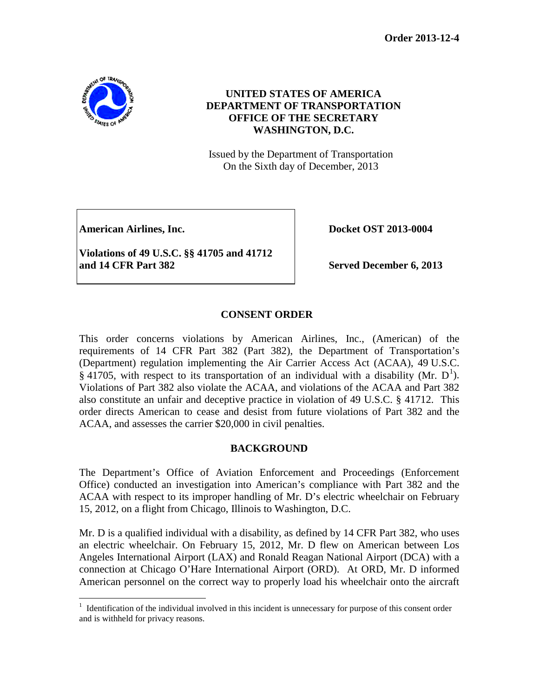**Order 2013-12-4**



# **UNITED STATES OF AMERICA DEPARTMENT OF TRANSPORTATION OFFICE OF THE SECRETARY WASHINGTON, D.C.**

Issued by the Department of Transportation On the Sixth day of December, 2013

American Airlines, Inc. **Docket OST 2013-0004** 

**Violations of 49 U.S.C. §§ 41705 and 41712 and 14 CFR Part 382 Served December 6, 2013** 

## **CONSENT ORDER**

This order concerns violations by American Airlines, Inc., (American) of the requirements of 14 CFR Part 382 (Part 382), the Department of Transportation's (Department) regulation implementing the Air Carrier Access Act (ACAA), 49 U.S.C. § 4[1](#page-0-0)705, with respect to its transportation of an individual with a disability (Mr.  $D^1$ ). Violations of Part 382 also violate the ACAA, and violations of the ACAA and Part 382 also constitute an unfair and deceptive practice in violation of 49 U.S.C. § 41712. This order directs American to cease and desist from future violations of Part 382 and the ACAA, and assesses the carrier \$20,000 in civil penalties.

## **BACKGROUND**

The Department's Office of Aviation Enforcement and Proceedings (Enforcement Office) conducted an investigation into American's compliance with Part 382 and the ACAA with respect to its improper handling of Mr. D's electric wheelchair on February 15, 2012, on a flight from Chicago, Illinois to Washington, D.C.

Mr. D is a qualified individual with a disability, as defined by 14 CFR Part 382, who uses an electric wheelchair. On February 15, 2012, Mr. D flew on American between Los Angeles International Airport (LAX) and Ronald Reagan National Airport (DCA) with a connection at Chicago O'Hare International Airport (ORD). At ORD, Mr. D informed American personnel on the correct way to properly load his wheelchair onto the aircraft

<span id="page-0-0"></span> $\frac{1}{1}$  $<sup>1</sup>$  Identification of the individual involved in this incident is unnecessary for purpose of this consent order</sup> and is withheld for privacy reasons.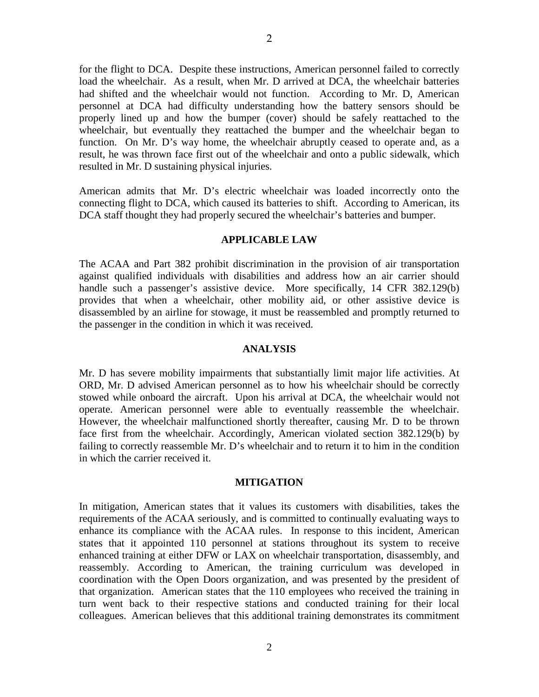for the flight to DCA. Despite these instructions, American personnel failed to correctly load the wheelchair. As a result, when Mr. D arrived at DCA, the wheelchair batteries had shifted and the wheelchair would not function. According to Mr. D, American personnel at DCA had difficulty understanding how the battery sensors should be properly lined up and how the bumper (cover) should be safely reattached to the wheelchair, but eventually they reattached the bumper and the wheelchair began to function. On Mr. D's way home, the wheelchair abruptly ceased to operate and, as a result, he was thrown face first out of the wheelchair and onto a public sidewalk, which resulted in Mr. D sustaining physical injuries.

American admits that Mr. D's electric wheelchair was loaded incorrectly onto the connecting flight to DCA, which caused its batteries to shift. According to American, its DCA staff thought they had properly secured the wheelchair's batteries and bumper.

### **APPLICABLE LAW**

The ACAA and Part 382 prohibit discrimination in the provision of air transportation against qualified individuals with disabilities and address how an air carrier should handle such a passenger's assistive device. More specifically, 14 CFR 382.129(b) provides that when a wheelchair, other mobility aid, or other assistive device is disassembled by an airline for stowage, it must be reassembled and promptly returned to the passenger in the condition in which it was received.

#### **ANALYSIS**

Mr. D has severe mobility impairments that substantially limit major life activities. At ORD, Mr. D advised American personnel as to how his wheelchair should be correctly stowed while onboard the aircraft. Upon his arrival at DCA, the wheelchair would not operate. American personnel were able to eventually reassemble the wheelchair. However, the wheelchair malfunctioned shortly thereafter, causing Mr. D to be thrown face first from the wheelchair. Accordingly, American violated section 382.129(b) by failing to correctly reassemble Mr. D's wheelchair and to return it to him in the condition in which the carrier received it.

#### **MITIGATION**

In mitigation, American states that it values its customers with disabilities, takes the requirements of the ACAA seriously, and is committed to continually evaluating ways to enhance its compliance with the ACAA rules. In response to this incident, American states that it appointed 110 personnel at stations throughout its system to receive enhanced training at either DFW or LAX on wheelchair transportation, disassembly, and reassembly. According to American, the training curriculum was developed in coordination with the Open Doors organization, and was presented by the president of that organization. American states that the 110 employees who received the training in turn went back to their respective stations and conducted training for their local colleagues. American believes that this additional training demonstrates its commitment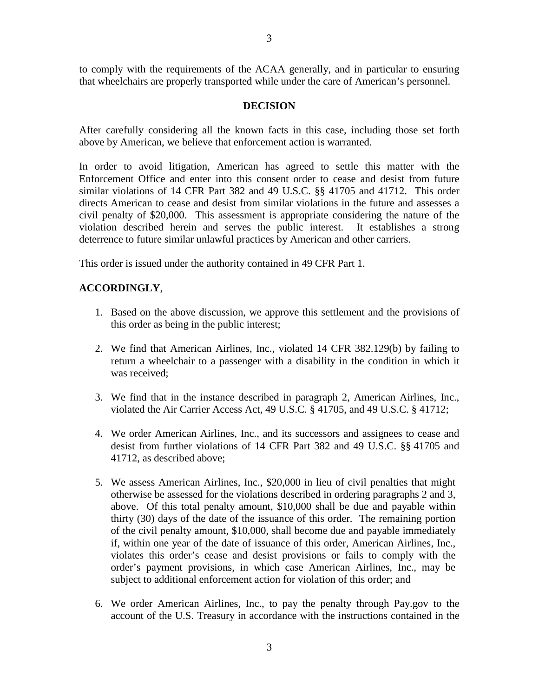to comply with the requirements of the ACAA generally, and in particular to ensuring that wheelchairs are properly transported while under the care of American's personnel.

### **DECISION**

After carefully considering all the known facts in this case, including those set forth above by American, we believe that enforcement action is warranted.

In order to avoid litigation, American has agreed to settle this matter with the Enforcement Office and enter into this consent order to cease and desist from future similar violations of 14 CFR Part 382 and 49 U.S.C. §§ 41705 and 41712. This order directs American to cease and desist from similar violations in the future and assesses a civil penalty of \$20,000. This assessment is appropriate considering the nature of the violation described herein and serves the public interest. It establishes a strong deterrence to future similar unlawful practices by American and other carriers.

This order is issued under the authority contained in 49 CFR Part 1.

### **ACCORDINGLY**,

- 1. Based on the above discussion, we approve this settlement and the provisions of this order as being in the public interest;
- 2. We find that American Airlines, Inc., violated 14 CFR 382.129(b) by failing to return a wheelchair to a passenger with a disability in the condition in which it was received;
- 3. We find that in the instance described in paragraph 2, American Airlines, Inc., violated the Air Carrier Access Act, 49 U.S.C. § 41705, and 49 U.S.C. § 41712;
- 4. We order American Airlines, Inc., and its successors and assignees to cease and desist from further violations of 14 CFR Part 382 and 49 U.S.C. §§ 41705 and 41712, as described above;
- 5. We assess American Airlines, Inc., \$20,000 in lieu of civil penalties that might otherwise be assessed for the violations described in ordering paragraphs 2 and 3, above. Of this total penalty amount, \$10,000 shall be due and payable within thirty (30) days of the date of the issuance of this order. The remaining portion of the civil penalty amount, \$10,000, shall become due and payable immediately if, within one year of the date of issuance of this order, American Airlines, Inc., violates this order's cease and desist provisions or fails to comply with the order's payment provisions, in which case American Airlines, Inc., may be subject to additional enforcement action for violation of this order; and
- 6. We order American Airlines, Inc., to pay the penalty through Pay.gov to the account of the U.S. Treasury in accordance with the instructions contained in the